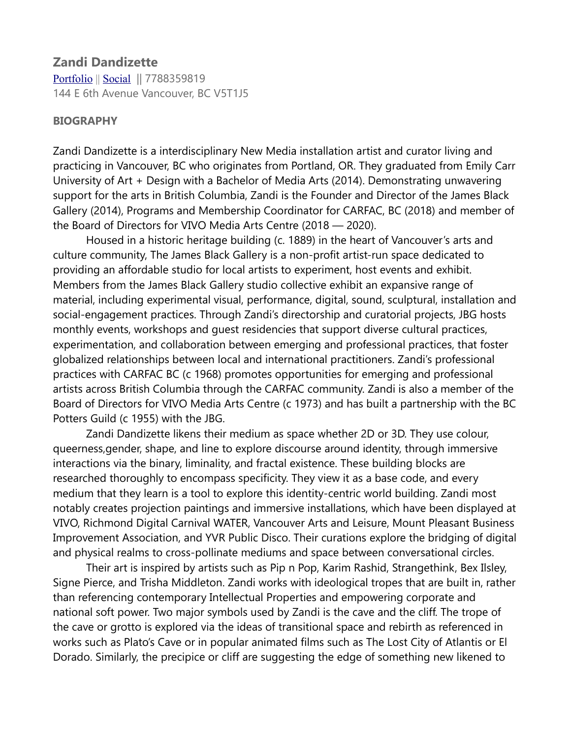## **Zandi Dandizette**

[Portfolio](http://www.bluep.ink/) || [Social](http://www.instagram.com/zandidandizette) || 7788359819 144 E 6th Avenue Vancouver, BC V5T1J5

## **BIOGRAPHY**

Zandi Dandizette is a interdisciplinary New Media installation artist and curator living and practicing in Vancouver, BC who originates from Portland, OR. They graduated from Emily Carr University of Art + Design with a Bachelor of Media Arts (2014). Demonstrating unwavering support for the arts in British Columbia, Zandi is the Founder and Director of the James Black Gallery (2014), Programs and Membership Coordinator for CARFAC, BC (2018) and member of the Board of Directors for VIVO Media Arts Centre (2018 — 2020).

Housed in a historic heritage building (c. 1889) in the heart of Vancouver's arts and culture community, The James Black Gallery is a non-profit artist-run space dedicated to providing an affordable studio for local artists to experiment, host events and exhibit. Members from the James Black Gallery studio collective exhibit an expansive range of material, including experimental visual, performance, digital, sound, sculptural, installation and social-engagement practices. Through Zandi's directorship and curatorial projects, JBG hosts monthly events, workshops and guest residencies that support diverse cultural practices, experimentation, and collaboration between emerging and professional practices, that foster globalized relationships between local and international practitioners. Zandi's professional practices with CARFAC BC (c 1968) promotes opportunities for emerging and professional artists across British Columbia through the CARFAC community. Zandi is also a member of the Board of Directors for VIVO Media Arts Centre (c 1973) and has built a partnership with the BC Potters Guild (c 1955) with the JBG.

Zandi Dandizette likens their medium as space whether 2D or 3D. They use colour, queerness,gender, shape, and line to explore discourse around identity, through immersive interactions via the binary, liminality, and fractal existence. These building blocks are researched thoroughly to encompass specificity. They view it as a base code, and every medium that they learn is a tool to explore this identity-centric world building. Zandi most notably creates projection paintings and immersive installations, which have been displayed at VIVO, Richmond Digital Carnival WATER, Vancouver Arts and Leisure, Mount Pleasant Business Improvement Association, and YVR Public Disco. Their curations explore the bridging of digital and physical realms to cross-pollinate mediums and space between conversational circles.

Their art is inspired by artists such as Pip n Pop, Karim Rashid, Strangethink, Bex Ilsley, Signe Pierce, and Trisha Middleton. Zandi works with ideological tropes that are built in, rather than referencing contemporary Intellectual Properties and empowering corporate and national soft power. Two major symbols used by Zandi is the cave and the cliff. The trope of the cave or grotto is explored via the ideas of transitional space and rebirth as referenced in works such as Plato's Cave or in popular animated films such as The Lost City of Atlantis or El Dorado. Similarly, the precipice or cliff are suggesting the edge of something new likened to